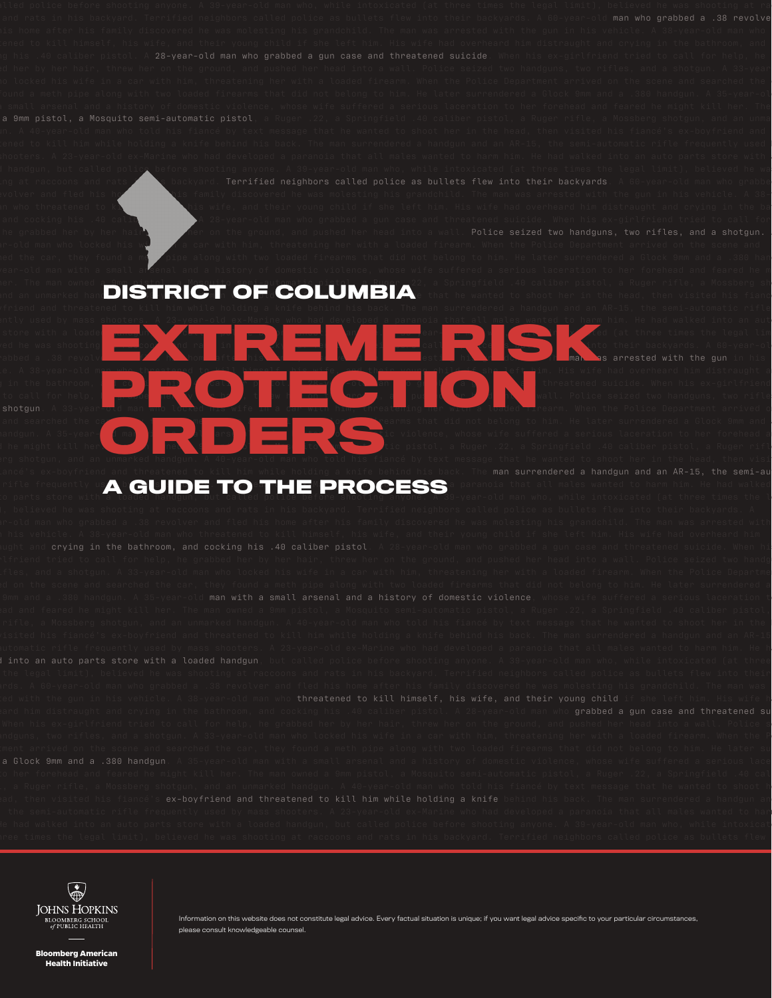man who grabbed a .38 revolve l handgun, but called polic<u>e</u> before shooting anyone. A 39-year-old man who, while intoxicated (at three times the legal limit), believed he wa . volver and fled his home and his family discovered he was molesting his grandchild. The man was arrested with the gun in his vehicle. A 38in who threatened to kill himself his wife, and their young child if she left him. His wife had overheard him distraught and crying in the ba and cocking his .40 caliber pistol. A 28-year-old man who grabbed a gun case and threatened suicide. When his ex-girlfriend tried to call for ir-old man who locked his with in a car with him, threatening her with a loaded firearm. When the Police Department arrived on the scene and ed the car, they found a methology pipe along with two loaded firearms that did not belong to him. He later surrendered a Glock 9mm and a .380 han rear-old man with a small arsenal and a history of domestic violence, whose wife suffered a serious laceration to her forehead and feared he m ier. The man owned a 9mm pistol, a Mosquito semi-automatic pistol, a Ruger 22, a Springfield .40 caliber pistol, a Ruger rifle, a Mossberg sh an unmarked han**d is a text message to the COLUMBIA**: that he wanted to shoot her in the head, then visited his fiance parts store with a loaded **handgun, but called police before show that when who, while into a 39-year-old man who, who who, who who, who who who, who who, who who, while into a 39-year-old man who, who who who, who who who**  $\bm{\kappa}$  rats shooting at raccoons and ratio  $\bm{\kappa}$  in the state  $\bm{\kappa}$  into the state as bullets flex into their backyards. A 60-year-old who gain grabbed and fleet three times the two gains of the man was molesting his grandchilder in his grandchild. The man was arrested with the gun vehicle. A 38-year-old man who threatened to kill himself, his wife, and their young child if she left him. His wife had overheard him distraught and in the bathroom, and cocking  $\blacksquare$  called the cocking of  $\blacksquare$  and the  $\blacksquare$  and threatened suicide. When his ex-girlfriend to call for help, he grade her by the ground, and pushed her her head into a wall. Police seized two handguns, two rifle shotgun. A 33-year-old man who locked his wife in a car with him, threatening her with a loaded firearm. When the Police Department arrived o and searched the car, they found a method firearms that did not belong to him. He later surrendered a Glock 9mm and randgun. A 35-year-**old man with a small and a history of domestic violence**, whose wife suffered a serious laceration to her forehead a feared he might kill her. The man of the man of the man of the man of the man of the man of the man of the man of the man of the man of the man of the man of the man of the man of the man of the man of the man of the man o man surrendered a handgun and an AR-15, the semi-au rifle frequently us $\blacktriangle$  GUIDE TO THE PROCESS<sup>a</sup> paranoia that all males wanted to harm him. He had walked into  $\blacktriangleright$ to parts store with a loaded handgun, but called police before shooting anyone. A 39-year-old man who, while intoxicated (at three times the l EXTREMENSION **PROTECTION ORDERS**<br> **ORDERS**<br> **ORDERS**<br> **ORDERS**<br> **ORDERS**<br> **ORDERS**<br> **ORDERS**<br> **ORDERS**<br> **ORDERS**<br> **ORDERS**<br> **ORDERS**<br> **ORDERS**<br> **ORDERS** 

man with a small arsenal and a history of domestic violence into an auto parts store with a loaded handgun ex-boyfriend and threatened to kill him while holding a knife



Information on this website does not constitute legal advice. Every factual situation is unique; if you want legal advice specific to your particular circumstances, please consult knowledgeable counsel.

**Bloomberg American Health Initiative**